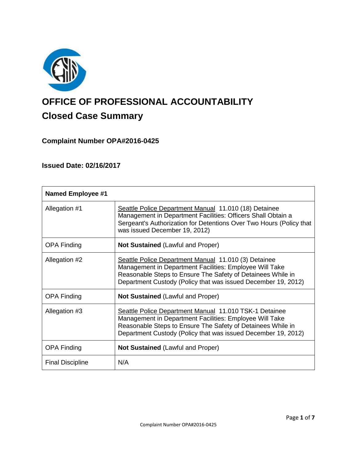

# **OFFICE OF PROFESSIONAL ACCOUNTABILITY Closed Case Summary**

# **Complaint Number OPA#2016-0425**

# **Issued Date: 02/16/2017**

| <b>Named Employee #1</b> |                                                                                                                                                                                                                                                   |
|--------------------------|---------------------------------------------------------------------------------------------------------------------------------------------------------------------------------------------------------------------------------------------------|
| Allegation #1            | Seattle Police Department Manual 11.010 (18) Detainee<br>Management in Department Facilities: Officers Shall Obtain a<br>Sergeant's Authorization for Detentions Over Two Hours (Policy that<br>was issued December 19, 2012)                     |
| <b>OPA Finding</b>       | <b>Not Sustained (Lawful and Proper)</b>                                                                                                                                                                                                          |
| Allegation #2            | Seattle Police Department Manual 11.010 (3) Detainee<br>Management in Department Facilities: Employee Will Take<br>Reasonable Steps to Ensure The Safety of Detainees While in<br>Department Custody (Policy that was issued December 19, 2012)   |
| <b>OPA Finding</b>       | <b>Not Sustained (Lawful and Proper)</b>                                                                                                                                                                                                          |
| Allegation #3            | Seattle Police Department Manual 11.010 TSK-1 Detainee<br>Management in Department Facilities: Employee Will Take<br>Reasonable Steps to Ensure The Safety of Detainees While in<br>Department Custody (Policy that was issued December 19, 2012) |
| <b>OPA Finding</b>       | <b>Not Sustained (Lawful and Proper)</b>                                                                                                                                                                                                          |
| <b>Final Discipline</b>  | N/A                                                                                                                                                                                                                                               |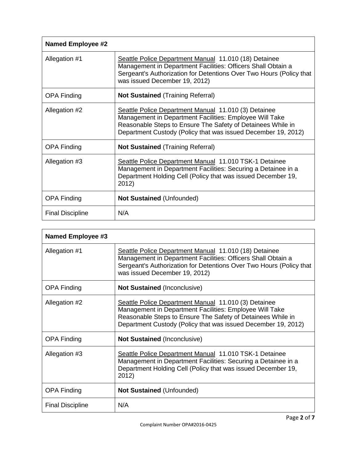| <b>Named Employee #2</b> |                                                                                                                                                                                                                                                 |
|--------------------------|-------------------------------------------------------------------------------------------------------------------------------------------------------------------------------------------------------------------------------------------------|
| Allegation #1            | Seattle Police Department Manual 11.010 (18) Detainee<br>Management in Department Facilities: Officers Shall Obtain a<br>Sergeant's Authorization for Detentions Over Two Hours (Policy that<br>was issued December 19, 2012)                   |
| <b>OPA Finding</b>       | <b>Not Sustained (Training Referral)</b>                                                                                                                                                                                                        |
| Allegation #2            | Seattle Police Department Manual 11.010 (3) Detainee<br>Management in Department Facilities: Employee Will Take<br>Reasonable Steps to Ensure The Safety of Detainees While in<br>Department Custody (Policy that was issued December 19, 2012) |
| <b>OPA Finding</b>       | <b>Not Sustained (Training Referral)</b>                                                                                                                                                                                                        |
| Allegation #3            | Seattle Police Department Manual 11.010 TSK-1 Detainee<br>Management in Department Facilities: Securing a Detainee in a<br>Department Holding Cell (Policy that was issued December 19,<br>2012)                                                |
| <b>OPA Finding</b>       | Not Sustained (Unfounded)                                                                                                                                                                                                                       |
| <b>Final Discipline</b>  | N/A                                                                                                                                                                                                                                             |

| Named Employee #3       |                                                                                                                                                                                                                                                 |
|-------------------------|-------------------------------------------------------------------------------------------------------------------------------------------------------------------------------------------------------------------------------------------------|
| Allegation #1           | Seattle Police Department Manual 11.010 (18) Detainee<br>Management in Department Facilities: Officers Shall Obtain a<br>Sergeant's Authorization for Detentions Over Two Hours (Policy that<br>was issued December 19, 2012)                   |
| <b>OPA Finding</b>      | <b>Not Sustained (Inconclusive)</b>                                                                                                                                                                                                             |
| Allegation #2           | Seattle Police Department Manual 11.010 (3) Detainee<br>Management in Department Facilities: Employee Will Take<br>Reasonable Steps to Ensure The Safety of Detainees While in<br>Department Custody (Policy that was issued December 19, 2012) |
| <b>OPA Finding</b>      | <b>Not Sustained (Inconclusive)</b>                                                                                                                                                                                                             |
| Allegation #3           | <b>Seattle Police Department Manual 11.010 TSK-1 Detainee</b><br>Management in Department Facilities: Securing a Detainee in a<br>Department Holding Cell (Policy that was issued December 19,<br>2012)                                         |
| <b>OPA Finding</b>      | Not Sustained (Unfounded)                                                                                                                                                                                                                       |
| <b>Final Discipline</b> | N/A                                                                                                                                                                                                                                             |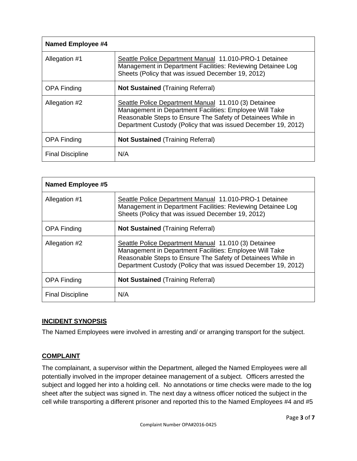| <b>Named Employee #4</b> |                                                                                                                                                                                                                                                 |
|--------------------------|-------------------------------------------------------------------------------------------------------------------------------------------------------------------------------------------------------------------------------------------------|
| Allegation #1            | Seattle Police Department Manual 11.010-PRO-1 Detainee<br>Management in Department Facilities: Reviewing Detainee Log<br>Sheets (Policy that was issued December 19, 2012)                                                                      |
| <b>OPA Finding</b>       | <b>Not Sustained (Training Referral)</b>                                                                                                                                                                                                        |
| Allegation #2            | Seattle Police Department Manual 11.010 (3) Detainee<br>Management in Department Facilities: Employee Will Take<br>Reasonable Steps to Ensure The Safety of Detainees While in<br>Department Custody (Policy that was issued December 19, 2012) |
| <b>OPA Finding</b>       | <b>Not Sustained (Training Referral)</b>                                                                                                                                                                                                        |
| <b>Final Discipline</b>  | N/A                                                                                                                                                                                                                                             |

| <b>Named Employee #5</b> |                                                                                                                                                                                                                                                 |
|--------------------------|-------------------------------------------------------------------------------------------------------------------------------------------------------------------------------------------------------------------------------------------------|
| Allegation #1            | Seattle Police Department Manual 11.010-PRO-1 Detainee<br>Management in Department Facilities: Reviewing Detainee Log<br>Sheets (Policy that was issued December 19, 2012)                                                                      |
| <b>OPA Finding</b>       | <b>Not Sustained (Training Referral)</b>                                                                                                                                                                                                        |
| Allegation #2            | Seattle Police Department Manual 11.010 (3) Detainee<br>Management in Department Facilities: Employee Will Take<br>Reasonable Steps to Ensure The Safety of Detainees While in<br>Department Custody (Policy that was issued December 19, 2012) |
| <b>OPA Finding</b>       | <b>Not Sustained (Training Referral)</b>                                                                                                                                                                                                        |
| <b>Final Discipline</b>  | N/A                                                                                                                                                                                                                                             |

# **INCIDENT SYNOPSIS**

The Named Employees were involved in arresting and/ or arranging transport for the subject.

# **COMPLAINT**

The complainant, a supervisor within the Department, alleged the Named Employees were all potentially involved in the improper detainee management of a subject. Officers arrested the subject and logged her into a holding cell. No annotations or time checks were made to the log sheet after the subject was signed in. The next day a witness officer noticed the subject in the cell while transporting a different prisoner and reported this to the Named Employees #4 and #5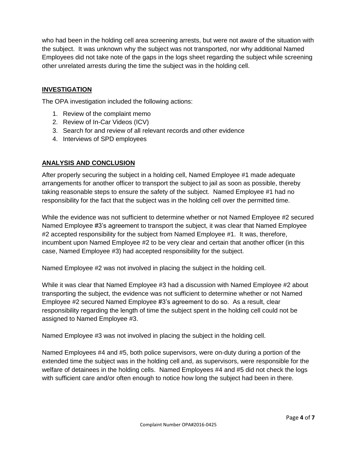who had been in the holding cell area screening arrests, but were not aware of the situation with the subject. It was unknown why the subject was not transported, nor why additional Named Employees did not take note of the gaps in the logs sheet regarding the subject while screening other unrelated arrests during the time the subject was in the holding cell.

# **INVESTIGATION**

The OPA investigation included the following actions:

- 1. Review of the complaint memo
- 2. Review of In-Car Videos (ICV)
- 3. Search for and review of all relevant records and other evidence
- 4. Interviews of SPD employees

# **ANALYSIS AND CONCLUSION**

After properly securing the subject in a holding cell, Named Employee #1 made adequate arrangements for another officer to transport the subject to jail as soon as possible, thereby taking reasonable steps to ensure the safety of the subject. Named Employee #1 had no responsibility for the fact that the subject was in the holding cell over the permitted time.

While the evidence was not sufficient to determine whether or not Named Employee #2 secured Named Employee #3's agreement to transport the subject, it was clear that Named Employee #2 accepted responsibility for the subject from Named Employee #1. It was, therefore, incumbent upon Named Employee #2 to be very clear and certain that another officer (in this case, Named Employee #3) had accepted responsibility for the subject.

Named Employee #2 was not involved in placing the subject in the holding cell.

While it was clear that Named Employee #3 had a discussion with Named Employee #2 about transporting the subject, the evidence was not sufficient to determine whether or not Named Employee #2 secured Named Employee #3's agreement to do so. As a result, clear responsibility regarding the length of time the subject spent in the holding cell could not be assigned to Named Employee #3.

Named Employee #3 was not involved in placing the subject in the holding cell.

Named Employees #4 and #5, both police supervisors, were on-duty during a portion of the extended time the subject was in the holding cell and, as supervisors, were responsible for the welfare of detainees in the holding cells. Named Employees #4 and #5 did not check the logs with sufficient care and/or often enough to notice how long the subject had been in there.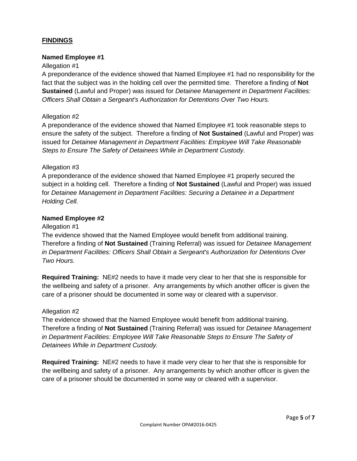# **FINDINGS**

## **Named Employee #1**

#### Allegation #1

A preponderance of the evidence showed that Named Employee #1 had no responsibility for the fact that the subject was in the holding cell over the permitted time. Therefore a finding of **Not Sustained** (Lawful and Proper) was issued for *Detainee Management in Department Facilities: Officers Shall Obtain a Sergeant's Authorization for Detentions Over Two Hours.*

## Allegation #2

A preponderance of the evidence showed that Named Employee #1 took reasonable steps to ensure the safety of the subject. Therefore a finding of **Not Sustained** (Lawful and Proper) was issued for *Detainee Management in Department Facilities: Employee Will Take Reasonable Steps to Ensure The Safety of Detainees While in Department Custody.*

## Allegation #3

A preponderance of the evidence showed that Named Employee #1 properly secured the subject in a holding cell. Therefore a finding of **Not Sustained** (Lawful and Proper) was issued for *Detainee Management in Department Facilities: Securing a Detainee in a Department Holding Cell.*

## **Named Employee #2**

#### Allegation #1

The evidence showed that the Named Employee would benefit from additional training. Therefore a finding of **Not Sustained** (Training Referral) was issued for *Detainee Management in Department Facilities: Officers Shall Obtain a Sergeant's Authorization for Detentions Over Two Hours.*

**Required Training:** NE#2 needs to have it made very clear to her that she is responsible for the wellbeing and safety of a prisoner. Any arrangements by which another officer is given the care of a prisoner should be documented in some way or cleared with a supervisor.

#### Allegation #2

The evidence showed that the Named Employee would benefit from additional training. Therefore a finding of **Not Sustained** (Training Referral) was issued for *Detainee Management in Department Facilities: Employee Will Take Reasonable Steps to Ensure The Safety of Detainees While in Department Custody.*

**Required Training:** NE#2 needs to have it made very clear to her that she is responsible for the wellbeing and safety of a prisoner. Any arrangements by which another officer is given the care of a prisoner should be documented in some way or cleared with a supervisor.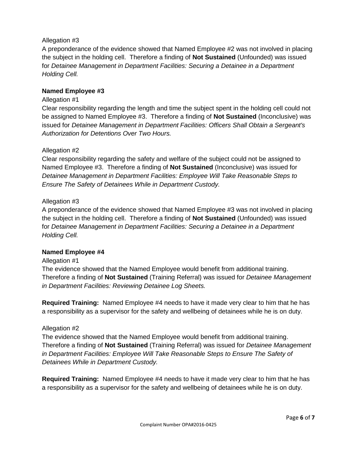# Allegation #3

A preponderance of the evidence showed that Named Employee #2 was not involved in placing the subject in the holding cell. Therefore a finding of **Not Sustained** (Unfounded) was issued for *Detainee Management in Department Facilities: Securing a Detainee in a Department Holding Cell.*

# **Named Employee #3**

## Allegation #1

Clear responsibility regarding the length and time the subject spent in the holding cell could not be assigned to Named Employee #3. Therefore a finding of **Not Sustained** (Inconclusive) was issued for *Detainee Management in Department Facilities: Officers Shall Obtain a Sergeant's Authorization for Detentions Over Two Hours.*

## Allegation #2

Clear responsibility regarding the safety and welfare of the subject could not be assigned to Named Employee #3. Therefore a finding of **Not Sustained** (Inconclusive) was issued for *Detainee Management in Department Facilities: Employee Will Take Reasonable Steps to Ensure The Safety of Detainees While in Department Custody.*

## Allegation #3

A preponderance of the evidence showed that Named Employee #3 was not involved in placing the subject in the holding cell. Therefore a finding of **Not Sustained** (Unfounded) was issued for *Detainee Management in Department Facilities: Securing a Detainee in a Department Holding Cell.*

## **Named Employee #4**

#### Allegation #1

The evidence showed that the Named Employee would benefit from additional training. Therefore a finding of **Not Sustained** (Training Referral) was issued for *Detainee Management in Department Facilities: Reviewing Detainee Log Sheets.*

**Required Training:** Named Employee #4 needs to have it made very clear to him that he has a responsibility as a supervisor for the safety and wellbeing of detainees while he is on duty.

#### Allegation #2

The evidence showed that the Named Employee would benefit from additional training. Therefore a finding of **Not Sustained** (Training Referral) was issued for *Detainee Management in Department Facilities: Employee Will Take Reasonable Steps to Ensure The Safety of Detainees While in Department Custody.*

**Required Training:** Named Employee #4 needs to have it made very clear to him that he has a responsibility as a supervisor for the safety and wellbeing of detainees while he is on duty.